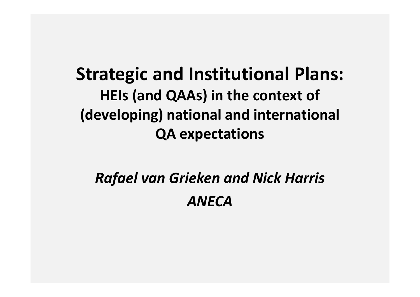Strategic and Institutional Plans:HEIs (and QAAs) in the context of (developing) national and international QA expectations

# Rafael van Grieken and Nick Harris ANECA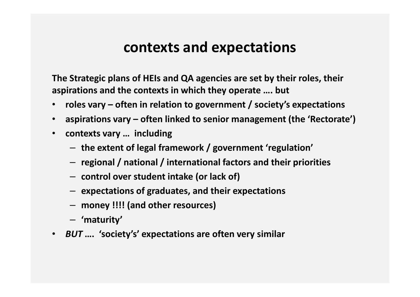### contexts and expectations

The Strategic plans of HEIs and QA agencies are set by their roles, their aspirations and the contexts in which they operate …. but

- $\bullet$ roles vary – often in relation to government / society's expectations
- aspirations vary often linked to senior management (the 'Rectorate')
- $\bullet$  contexts vary … including
	- $-$  the extent of legal framework / government 'regulation'
	- $-$  regional / national / international factors and their priorities
	- control over student intake (or lack of)
	- expectations of graduates, and their expectations
	- money !!!! (and other resources)
	- 'maturity'
- BUT …. 'society's' expectations are often very similar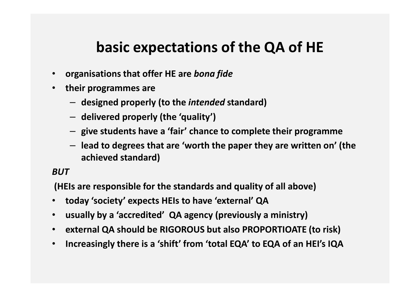## basic expectations of the QA of HE

- organisations that offer HE are bona fide
- $\bullet$  their programmes are
	- $-$  designed properly (to the *intended* standard)
	- delivered properly (the 'quality')
	- give students have a 'fair' chance to complete their programme
	- lead to degrees that are 'worth the paper they are written on' (the achieved standard)

#### BUT

(HEIs are responsible for the standards and quality of all above)

- today 'society' expects HEIs to have 'external' QA
- •usually by a 'accredited' QA agency (previously a ministry)
- external QA should be RIGOROUS but also PROPORTIOATE (to risk)
- $\bullet$ Increasingly there is a 'shift' from 'total EQA' to EQA of an HEI's IQA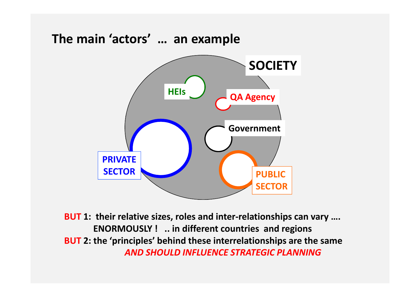

BUT 1: their relative sizes, roles and inter-relationships can vary .... ENORMOUSLY ! .. in different countries and regionsBUT 2: the 'principles' behind these interrelationships are the same AND SHOULD INFLUENCE STRATEGIC PLANNING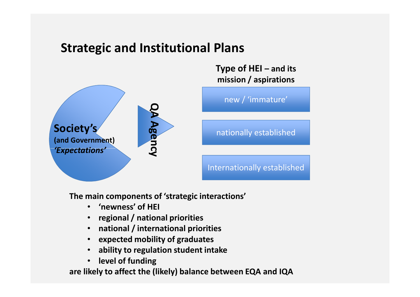### Strategic and Institutional Plans



Type of HEI – and its

The main components of 'strategic interactions'

- •'newness' of HEI
- regional / national priorities
- national / international priorities
- •expected mobility of graduates
- ability to regulation student intake•
- $\bullet$ level of funding

are likely to affect the (likely) balance between EQA and IQA